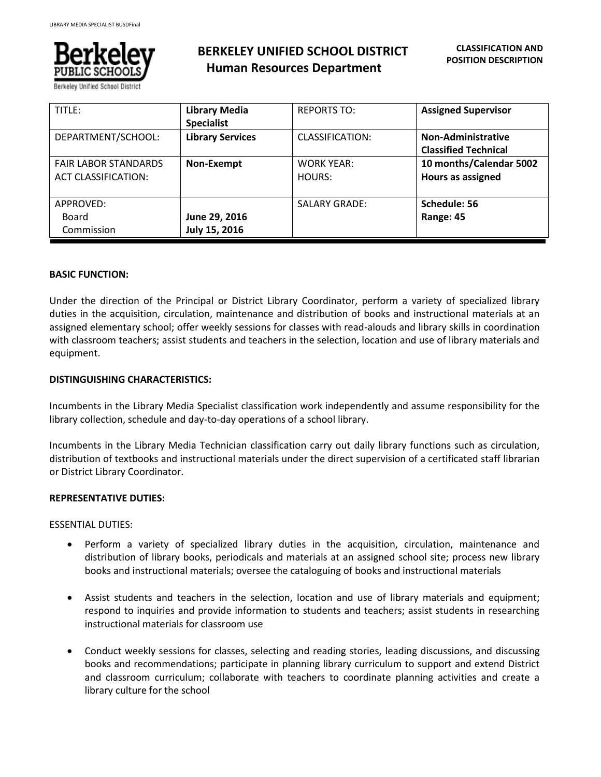

Berkeley Unified School Distri

# **BERKELEY UNIFIED SCHOOL DISTRICT Human Resources Department**

| TITLE:                                                    | <b>Library Media</b><br><b>Specialist</b> | <b>REPORTS TO:</b>          | <b>Assigned Supervisor</b>                               |
|-----------------------------------------------------------|-------------------------------------------|-----------------------------|----------------------------------------------------------|
| DEPARTMENT/SCHOOL:                                        | <b>Library Services</b>                   | CLASSIFICATION:             | <b>Non-Administrative</b><br><b>Classified Technical</b> |
| <b>FAIR LABOR STANDARDS</b><br><b>ACT CLASSIFICATION:</b> | Non-Exempt                                | <b>WORK YEAR:</b><br>HOURS: | 10 months/Calendar 5002<br>Hours as assigned             |
| APPROVED:<br>Board<br>Commission                          | June 29, 2016<br>July 15, 2016            | <b>SALARY GRADE:</b>        | Schedule: 56<br>Range: 45                                |

## **BASIC FUNCTION:**

Under the direction of the Principal or District Library Coordinator, perform a variety of specialized library duties in the acquisition, circulation, maintenance and distribution of books and instructional materials at an assigned elementary school; offer weekly sessions for classes with read-alouds and library skills in coordination with classroom teachers; assist students and teachers in the selection, location and use of library materials and equipment.

## **DISTINGUISHING CHARACTERISTICS:**

Incumbents in the Library Media Specialist classification work independently and assume responsibility for the library collection, schedule and day-to-day operations of a school library.

Incumbents in the Library Media Technician classification carry out daily library functions such as circulation, distribution of textbooks and instructional materials under the direct supervision of a certificated staff librarian or District Library Coordinator.

## **REPRESENTATIVE DUTIES:**

ESSENTIAL DUTIES:

- Perform a variety of specialized library duties in the acquisition, circulation, maintenance and distribution of library books, periodicals and materials at an assigned school site; process new library books and instructional materials; oversee the cataloguing of books and instructional materials
- Assist students and teachers in the selection, location and use of library materials and equipment; respond to inquiries and provide information to students and teachers; assist students in researching instructional materials for classroom use
- Conduct weekly sessions for classes, selecting and reading stories, leading discussions, and discussing books and recommendations; participate in planning library curriculum to support and extend District and classroom curriculum; collaborate with teachers to coordinate planning activities and create a library culture for the school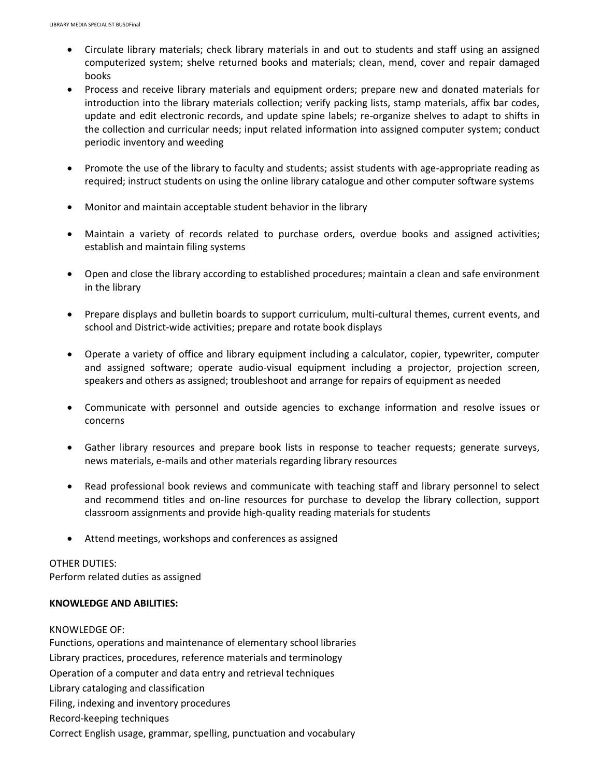- Circulate library materials; check library materials in and out to students and staff using an assigned computerized system; shelve returned books and materials; clean, mend, cover and repair damaged books
- Process and receive library materials and equipment orders; prepare new and donated materials for introduction into the library materials collection; verify packing lists, stamp materials, affix bar codes, update and edit electronic records, and update spine labels; re-organize shelves to adapt to shifts in the collection and curricular needs; input related information into assigned computer system; conduct periodic inventory and weeding
- Promote the use of the library to faculty and students; assist students with age-appropriate reading as required; instruct students on using the online library catalogue and other computer software systems
- Monitor and maintain acceptable student behavior in the library
- Maintain a variety of records related to purchase orders, overdue books and assigned activities; establish and maintain filing systems
- Open and close the library according to established procedures; maintain a clean and safe environment in the library
- Prepare displays and bulletin boards to support curriculum, multi-cultural themes, current events, and school and District-wide activities; prepare and rotate book displays
- Operate a variety of office and library equipment including a calculator, copier, typewriter, computer and assigned software; operate audio-visual equipment including a projector, projection screen, speakers and others as assigned; troubleshoot and arrange for repairs of equipment as needed
- Communicate with personnel and outside agencies to exchange information and resolve issues or concerns
- Gather library resources and prepare book lists in response to teacher requests; generate surveys, news materials, e-mails and other materials regarding library resources
- Read professional book reviews and communicate with teaching staff and library personnel to select and recommend titles and on-line resources for purchase to develop the library collection, support classroom assignments and provide high-quality reading materials for students
- Attend meetings, workshops and conferences as assigned

# OTHER DUTIES:

Perform related duties as assigned

## **KNOWLEDGE AND ABILITIES:**

## KNOWLEDGE OF:

Functions, operations and maintenance of elementary school libraries Library practices, procedures, reference materials and terminology Operation of a computer and data entry and retrieval techniques Library cataloging and classification Filing, indexing and inventory procedures Record-keeping techniques Correct English usage, grammar, spelling, punctuation and vocabulary